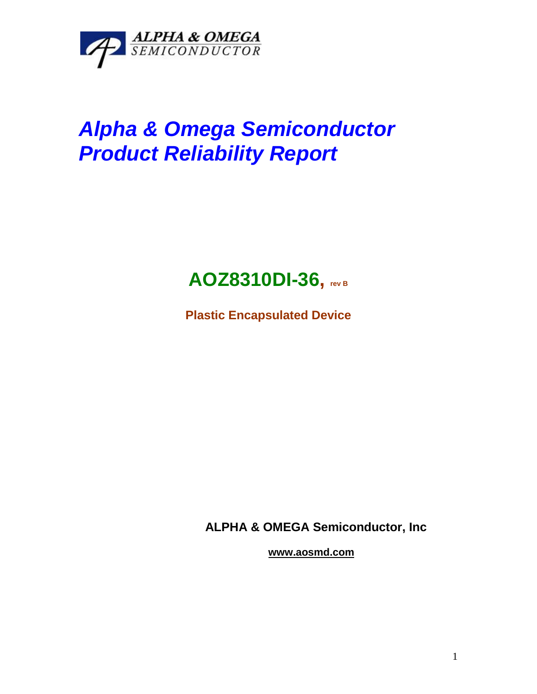

## *Alpha & Omega Semiconductor Product Reliability Report*



**Plastic Encapsulated Device**

**ALPHA & OMEGA Semiconductor, Inc**

**www.aosmd.com**